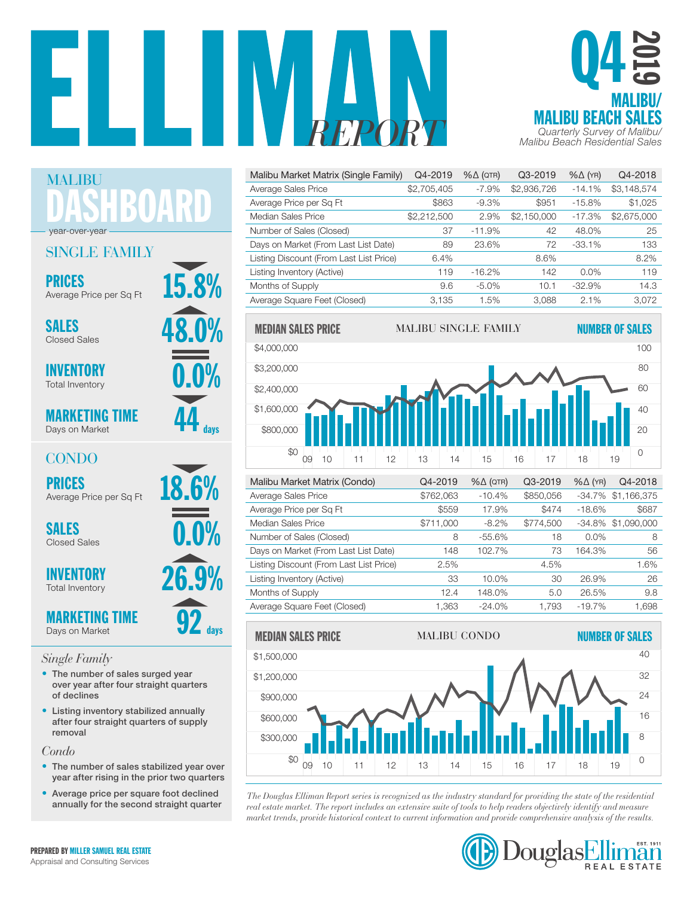



| Malibu Market Matrix (Single Family)    | Q4-2019     | $% \triangle (QTR)$ | Q3-2019     | $% \triangle (YR)$ | Q4-2018     |
|-----------------------------------------|-------------|---------------------|-------------|--------------------|-------------|
| Average Sales Price                     | \$2,705,405 | $-7.9%$             | \$2,936,726 | $-14.1%$           | \$3,148,574 |
| Average Price per Sq Ft                 | \$863       | $-9.3%$             | \$951       | $-15.8%$           | \$1,025     |
| Median Sales Price                      | \$2,212,500 | 2.9%                | \$2,150,000 | $-17.3%$           | \$2,675,000 |
| Number of Sales (Closed)                | 37          | $-11.9%$            | 42          | 48.0%              | 25          |
| Days on Market (From Last List Date)    | 89          | 23.6%               | 72          | $-33.1%$           | 133         |
| Listing Discount (From Last List Price) | 6.4%        |                     | 8.6%        |                    | 8.2%        |
| Listing Inventory (Active)              | 119         | $-16.2%$            | 142         | $0.0\%$            | 119         |
| Months of Supply                        | 9.6         | $-5.0\%$            | 10.1        | $-32.9%$           | 14.3        |
| Average Square Feet (Closed)            | 3.135       | 1.5%                | 3.088       | 2.1%               | 3.072       |



| AVUI QUU UQIUU I TIUU                   | UI UL.UUU | 10.770    | wuu.uuu   |          | 07.170 1.100.010   |
|-----------------------------------------|-----------|-----------|-----------|----------|--------------------|
| Average Price per Sq Ft                 | \$559     | 17.9%     | \$474     | $-18.6%$ | \$687              |
| Median Sales Price                      | \$711,000 | $-8.2%$   | \$774,500 |          | -34.8% \$1.090.000 |
| Number of Sales (Closed)                | 8         | $-55.6%$  | 18        | $0.0\%$  | 8                  |
| Days on Market (From Last List Date)    | 148       | 102.7%    | 73        | 164.3%   | 56                 |
| Listing Discount (From Last List Price) | 2.5%      |           | 4.5%      |          | 1.6%               |
| Listing Inventory (Active)              | 33        | $10.0\%$  | 30        | 26.9%    | 26                 |
| Months of Supply                        | 12.4      | 148.0%    | 5.0       | 26.5%    | 9.8                |
| Average Square Feet (Closed)            | 1.363     | $-24.0\%$ | 1.793     | $-19.7%$ | 1.698              |



*The Douglas Elliman Report series is recognized as the industry standard for providing the state of the residential*  0 \$0 real estate market. The report includes an extensive suite of tools to help readers objectively identify and measure rear estate market. The report includes an extensive suite of loots to help redders objectively dientify and measure<br>market trends, provide historical context to current information and provide comprehensive analysis of th



puglas

 $\mathcal{L}_{\mathcal{L}}$ 

41

| 899 V IV | AVEI QUE JAIES F        |
|----------|-------------------------|
|          | Average Price p         |
|          | Median Sales P          |
|          | Number of Sale          |
|          | Days on Market          |
|          | <b>Listing Discount</b> |
|          | Listing Inventory       |
|          | Months of Supp          |
|          | $0.0\%$<br>26.9%        |

\$0 \$1,200,000 \$1,500,000 **92** days • The number of sales surged year over year after four straight quarters

of declines • Listing inventory stabilized annually after four straight quarters of supply removal

*Condo*

- The number of sales stabilized year over year after rising in the prior two quarters
- Average price per square foot declined annually for the second straight quarter





CONDO

Days on Market

Closed Sales

**INVENTORY** Total Inventory







DASHBOARD

SALES  $\frac{48.0\%}{\frac{3}{20}}$ 

**PRICES**<br>Average Price per Sq Et **15.8%** 

SINGLE FAMILY

Average Price per Sq Ft

MALIBU

year-over-year

MARKETING TIME Days on Market

## *Single Family*

PREPARED BY MILLER SAMUEL REAL ESTATE